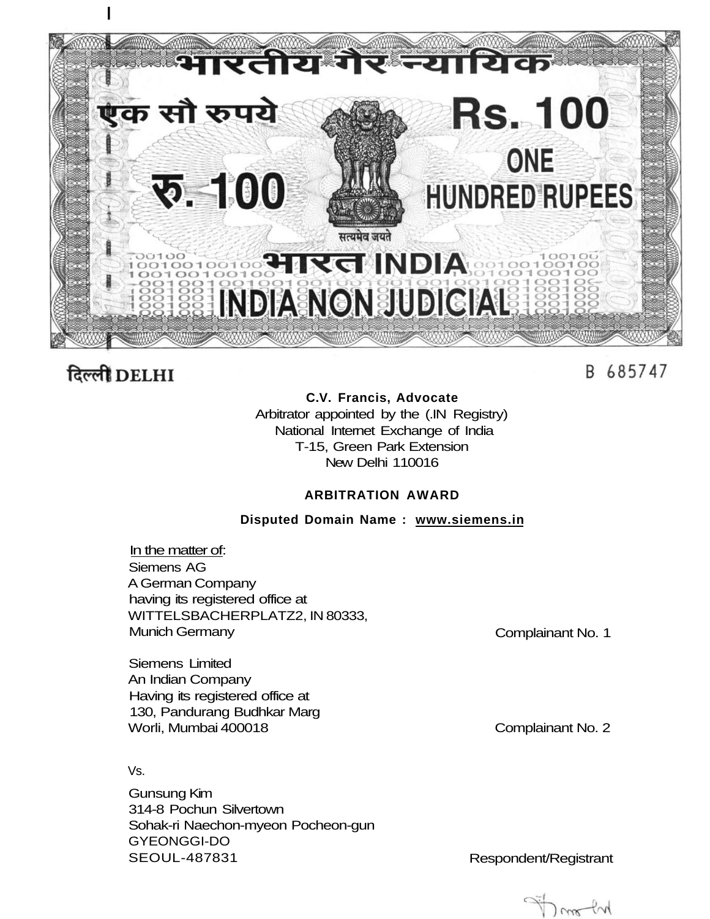

# दिल्ली DELHI

# B 685747

# **C.V. Francis, Advocate**

Arbitrator appointed by the (.IN Registry) National Internet Exchange of India T-15, Green Park Extension New Delhi 110016

# **ARBITRATION AWARD**

# **Disputed Domain Name : [www.siemens.in](http://www.siemens.in)**

In the matter of: Siemens AG A German Company having its registered office at WITTELSBACHERPLATZ2, IN 80333, Munich Germany

Complainant No. 1

Siemens Limited An Indian Company Having its registered office at 130, Pandurang Budhkar Marg Worli, Mumbai 400018

Vs.

Gunsung Kim 314-8 Pochun Silvertown Sohak-ri Naechon-myeon Pocheon-gun GYEONGGI-DO SEOUL-487831 Respondent/Registrant

Complainant No. 2

om for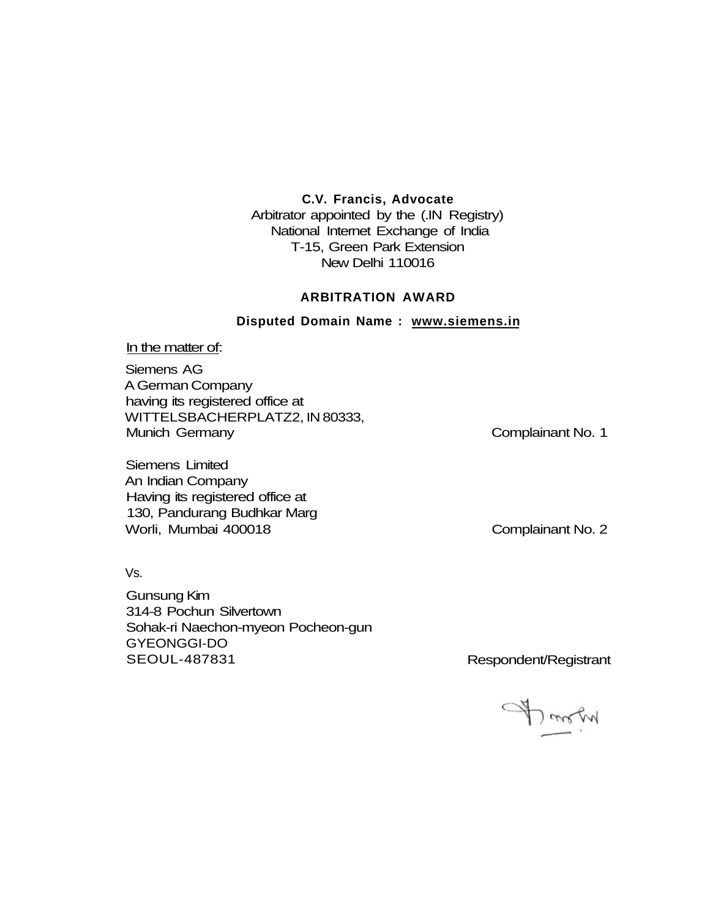# **C.V. Francis, Advocate**

Arbitrator appointed by the (.IN Registry) National Internet Exchange of India T-15, Green Park Extension New Delhi 110016

# **ARBITRATION AWARD**

**Disputed Domain Name : [www.siemens.in](http://www.siemens.in)** 

#### In the matter of:

Siemens AG A German Company having its registered office at WITTELSBACHERPLATZ2, IN 80333, Munich Germany **Complainant No. 1** 

Siemens Limited An Indian Company Having its registered office at 130, Pandurang Budhkar Marg Worli, Mumbai 400018 Complainant No. 2

Vs.

Gunsung Kim 314-8 Pochun Silvertown Sohak-ri Naechon-myeon Pocheon-gun GYEONGGI-DO SEOUL-487831 Respondent/Registrant

A morn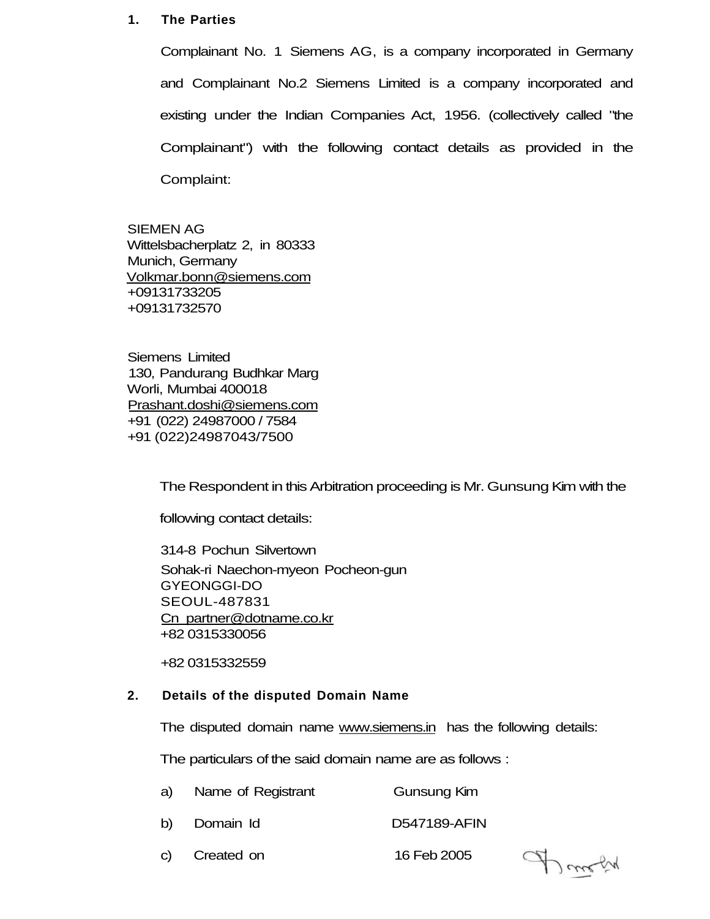# **1. The Parties**

Complainant No. 1 Siemens AG, is a company incorporated in Germany and Complainant No.2 Siemens Limited is a company incorporated and existing under the Indian Companies Act, 1956. (collectively called "the Complainant") with the following contact details as provided in the Complaint:

SIEMEN AG Wittelsbacherplatz 2, in 80333 Munich, Germany [Volkmar.bonn@siemens.com](mailto:Volkmar.bonn@siemens.com) +09131733205 +09131732570

Siemens Limited 130, Pandurang Budhkar Marg Worli, Mumbai 400018 [Prashant.doshi@siemens.com](mailto:Prashant.doshi@siemens.com) +91 (022) 24987000 / 7584 +91 (022)24987043/7500

The Respondent in this Arbitration proceeding is Mr. Gunsung Kim with the

following contact details:

314-8 Pochun Silvertown Sohak-ri Naechon-myeon Pocheon-gun GYEONGGI-DO SEOUL-487831 Cn [partner@dotname.co.kr](mailto:partner@dotname.co.kr)  +82 0315330056

+82 0315332559

# **2. Details of the disputed Domain Name**

The disputed domain name [www.siemens.in](http://www.siemens.in) has the following details:

The particulars of the said domain name are as follows :

- a) Name of Registrant Gunsung Kim
- b) Domain Id D547189-AFIN
- c) Created on 16 Feb 2005

Donoly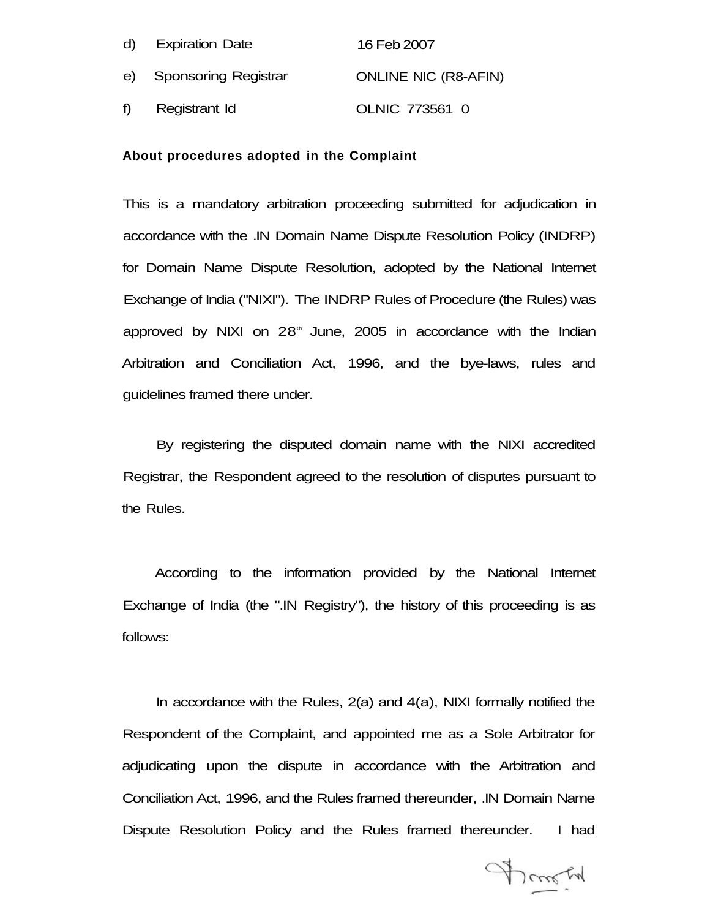| d) | <b>Expiration Date</b>  | 16 Feb 2007                 |
|----|-------------------------|-----------------------------|
|    | e) Sponsoring Registrar | <b>ONLINE NIC (R8-AFIN)</b> |
| f) | Registrant Id           | OLNIC 773561 0              |

#### **About procedures adopted in the Complaint**

This is a mandatory arbitration proceeding submitted for adjudication in accordance with the .IN Domain Name Dispute Resolution Policy (INDRP) for Domain Name Dispute Resolution, adopted by the National Internet Exchange of India ("NIXI"). The INDRP Rules of Procedure (the Rules) was approved by NIXI on 28<sup>th</sup> June, 2005 in accordance with the Indian Arbitration and Conciliation Act, 1996, and the bye-laws, rules and guidelines framed there under.

By registering the disputed domain name with the NIXI accredited Registrar, the Respondent agreed to the resolution of disputes pursuant to the Rules.

According to the information provided by the National Internet Exchange of India (the ".IN Registry"), the history of this proceeding is as follows:

In accordance with the Rules, 2(a) and 4(a), NIXI formally notified the Respondent of the Complaint, and appointed me as a Sole Arbitrator for adjudicating upon the dispute in accordance with the Arbitration and Conciliation Act, 1996, and the Rules framed thereunder, .IN Domain Name Dispute Resolution Policy and the Rules framed thereunder. I had

Franch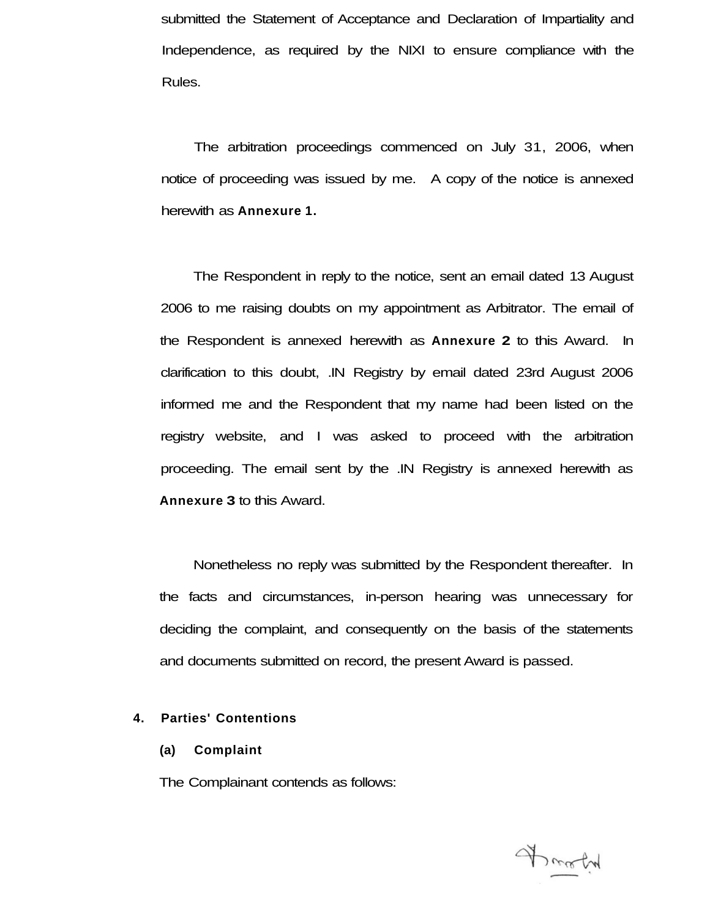submitted the Statement of Acceptance and Declaration of Impartiality and Independence, as required by the NIXI to ensure compliance with the Rules.

The arbitration proceedings commenced on July 31, 2006, when notice of proceeding was issued by me. A copy of the notice is annexed herewith as **Annexure 1.** 

The Respondent in reply to the notice, sent an email dated 13 August 2006 to me raising doubts on my appointment as Arbitrator. The email of the Respondent is annexed herewith as **Annexure 2** to this Award. In clarification to this doubt, .IN Registry by email dated 23rd August 2006 informed me and the Respondent that my name had been listed on the registry website, and I was asked to proceed with the arbitration proceeding. The email sent by the .IN Registry is annexed herewith as **Annexure 3** to this Award.

Nonetheless no reply was submitted by the Respondent thereafter. In the facts and circumstances, in-person hearing was unnecessary for deciding the complaint, and consequently on the basis of the statements and documents submitted on record, the present Award is passed.

# **4. Parties' Contentions**

#### **(a) Complaint**

The Complainant contends as follows:

Fraction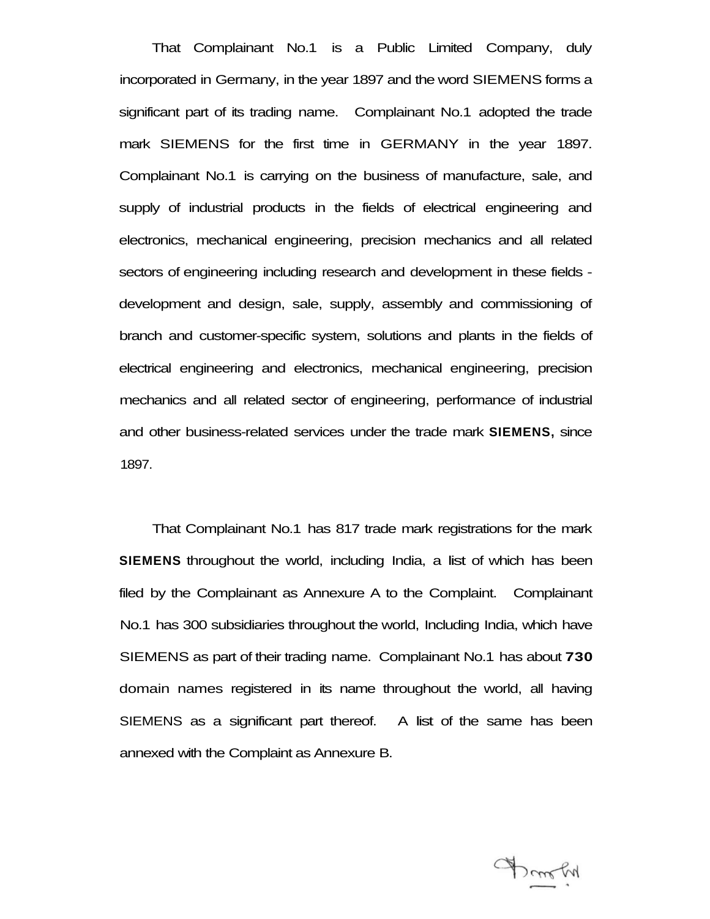That Complainant No.1 is a Public Limited Company, duly incorporated in Germany, in the year 1897 and the word SIEMENS forms a significant part of its trading name. Complainant No.1 adopted the trade mark SIEMENS for the first time in GERMANY in the year 1897. Complainant No.1 is carrying on the business of manufacture, sale, and supply of industrial products in the fields of electrical engineering and electronics, mechanical engineering, precision mechanics and all related sectors of engineering including research and development in these fields development and design, sale, supply, assembly and commissioning of branch and customer-specific system, solutions and plants in the fields of electrical engineering and electronics, mechanical engineering, precision mechanics and all related sector of engineering, performance of industrial and other business-related services under the trade mark **SIEMENS,** since 1897.

That Complainant No.1 has 817 trade mark registrations for the mark **SIEMENS** throughout the world, including India, a list of which has been filed by the Complainant as Annexure A to the Complaint. Complainant No.1 has 300 subsidiaries throughout the world, Including India, which have SIEMENS as part of their trading name. Complainant No.1 has about **730**  domain names registered in its name throughout the world, all having SIEMENS as a significant part thereof. A list of the same has been annexed with the Complaint as Annexure B.

Donothy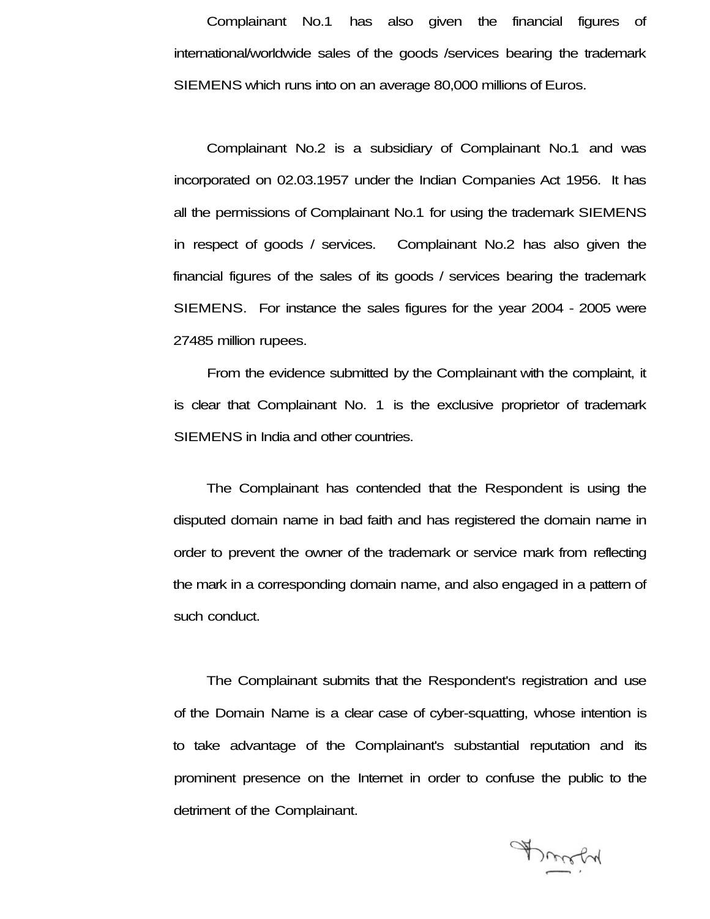Complainant No.1 has also given the financial figures of international/worldwide sales of the goods /services bearing the trademark SIEMENS which runs into on an average 80,000 millions of Euros.

Complainant No.2 is a subsidiary of Complainant No.1 and was incorporated on 02.03.1957 under the Indian Companies Act 1956. It has all the permissions of Complainant No.1 for using the trademark SIEMENS in respect of goods / services. Complainant No.2 has also given the financial figures of the sales of its goods / services bearing the trademark SIEMENS. For instance the sales figures for the year 2004 - 2005 were 27485 million rupees.

From the evidence submitted by the Complainant with the complaint, it is clear that Complainant No. 1 is the exclusive proprietor of trademark SIEMENS in India and other countries.

The Complainant has contended that the Respondent is using the disputed domain name in bad faith and has registered the domain name in order to prevent the owner of the trademark or service mark from reflecting the mark in a corresponding domain name, and also engaged in a pattern of such conduct.

The Complainant submits that the Respondent's registration and use of the Domain Name is a clear case of cyber-squatting, whose intention is to take advantage of the Complainant's substantial reputation and its prominent presence on the Internet in order to confuse the public to the detriment of the Complainant.

Droch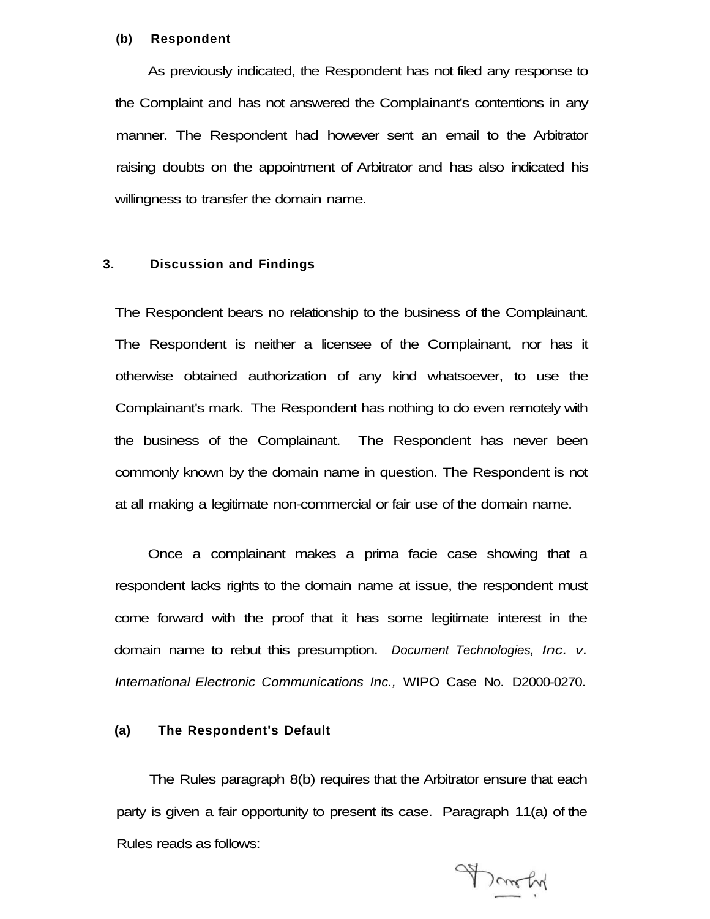#### **(b) Respondent**

As previously indicated, the Respondent has not filed any response to the Complaint and has not answered the Complainant's contentions in any manner. The Respondent had however sent an email to the Arbitrator raising doubts on the appointment of Arbitrator and has also indicated his willingness to transfer the domain name.

# **3. Discussion and Findings**

The Respondent bears no relationship to the business of the Complainant. The Respondent is neither a licensee of the Complainant, nor has it otherwise obtained authorization of any kind whatsoever, to use the Complainant's mark. The Respondent has nothing to do even remotely with the business of the Complainant. The Respondent has never been commonly known by the domain name in question. The Respondent is not at all making a legitimate non-commercial or fair use of the domain name.

Once a complainant makes a prima facie case showing that a respondent lacks rights to the domain name at issue, the respondent must come forward with the proof that it has some legitimate interest in the domain name to rebut this presumption. Document Technologies, Inc. v. International Electronic Communications Inc., WIPO Case No. D2000-0270.

# **(a) The Respondent's Default**

The Rules paragraph 8(b) requires that the Arbitrator ensure that each party is given a fair opportunity to present its case. Paragraph 11(a) of the Rules reads as follows:

Donaty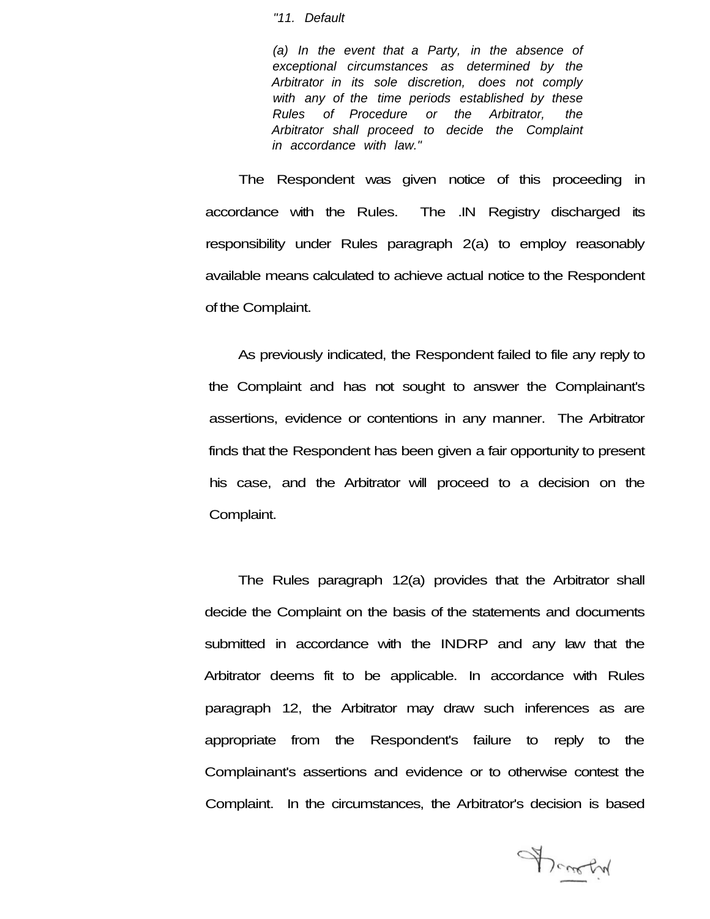#### "11. Default

(a) In the event that a Party, in the absence of exceptional circumstances as determined by the Arbitrator in its sole discretion, does not comply with any of the time periods established by these Rules of Procedure or the Arbitrator, the Arbitrator shall proceed to decide the Complaint in accordance with law."

The Respondent was given notice of this proceeding in accordance with the Rules. The .IN Registry discharged its responsibility under Rules paragraph 2(a) to employ reasonably available means calculated to achieve actual notice to the Respondent of the Complaint.

As previously indicated, the Respondent failed to file any reply to the Complaint and has not sought to answer the Complainant's assertions, evidence or contentions in any manner. The Arbitrator finds that the Respondent has been given a fair opportunity to present his case, and the Arbitrator will proceed to a decision on the Complaint.

The Rules paragraph 12(a) provides that the Arbitrator shall decide the Complaint on the basis of the statements and documents submitted in accordance with the INDRP and any law that the Arbitrator deems fit to be applicable. In accordance with Rules paragraph 12, the Arbitrator may draw such inferences as are appropriate from the Respondent's failure to reply to the Complainant's assertions and evidence or to otherwise contest the Complaint. In the circumstances, the Arbitrator's decision is based

Donation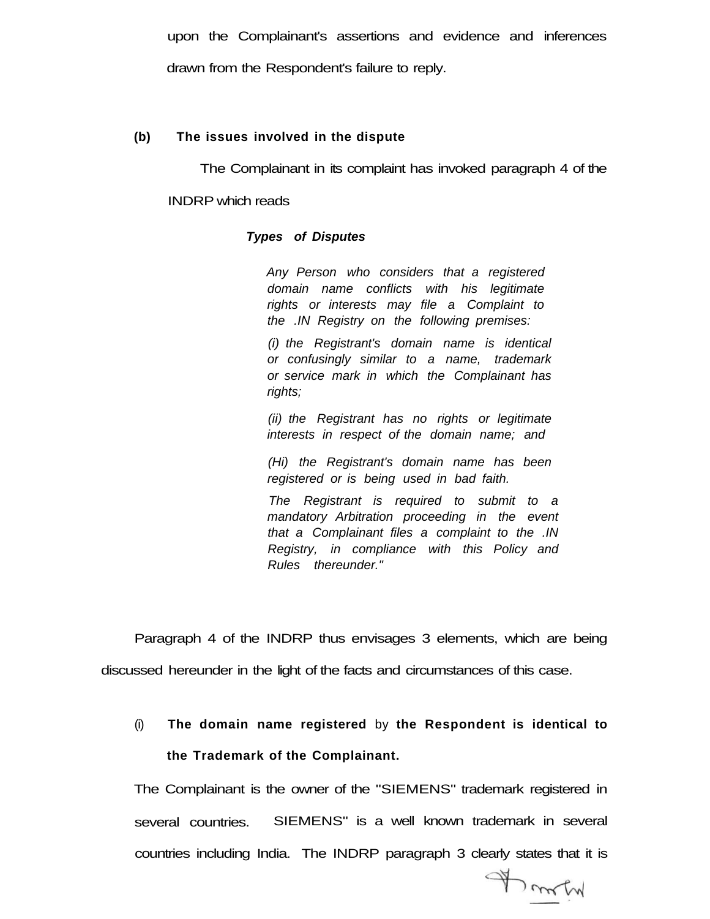upon the Complainant's assertions and evidence and inferences drawn from the Respondent's failure to reply.

# **(b) The issues involved in the dispute**

The Complainant in its complaint has invoked paragraph 4 of the

#### INDRP which reads

## **Types of Disputes**

Any Person who considers that a registered domain name conflicts with his legitimate rights or interests may file a Complaint to the .IN Registry on the following premises:

(i) the Registrant's domain name is identical or confusingly similar to a name, trademark or service mark in which the Complainant has rights;

(ii) the Registrant has no rights or legitimate interests in respect of the domain name; and

(Hi) the Registrant's domain name has been registered or is being used in bad faith.

The Registrant is required to submit to a mandatory Arbitration proceeding in the event that a Complainant files a complaint to the .IN Registry, in compliance with this Policy and Rules thereunder."

Paragraph 4 of the INDRP thus envisages 3 elements, which are being discussed hereunder in the light of the facts and circumstances of this case.

(i) **The domain name registered** by **the Respondent is identical to the Trademark of the Complainant.** 

The Complainant is the owner of the "SIEMENS" trademark registered in several countries. SIEMENS" is a well known trademark in several countries including India. The INDRP paragraph 3 clearly states that it is

Franch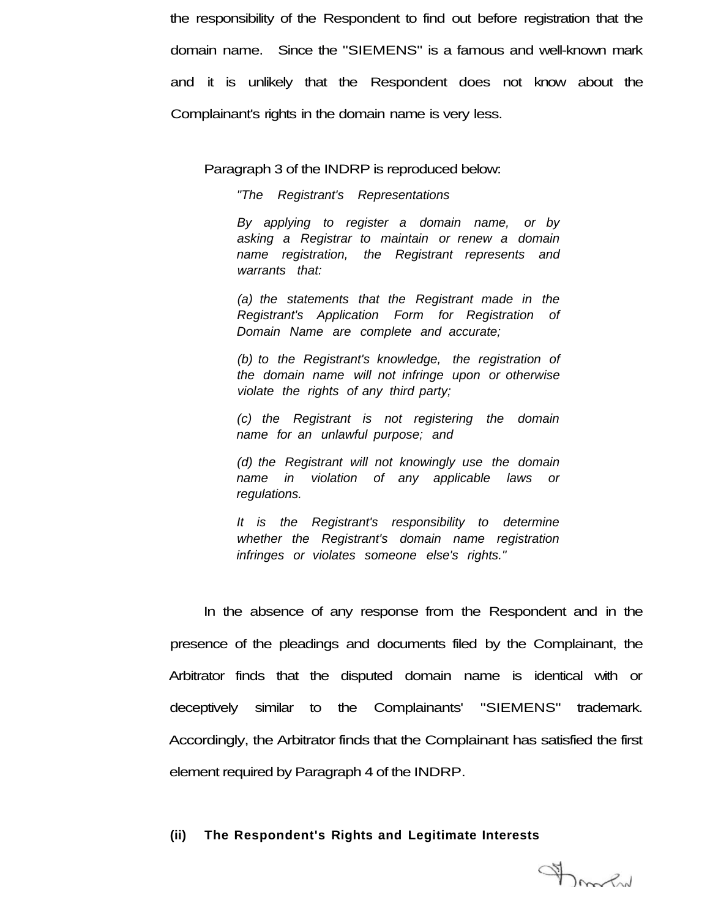the responsibility of the Respondent to find out before registration that the domain name. Since the "SIEMENS" is a famous and well-known mark and it is unlikely that the Respondent does not know about the Complainant's rights in the domain name is very less.

Paragraph 3 of the INDRP is reproduced below:

"The Registrant's Representations

By applying to register a domain name, or by asking a Registrar to maintain or renew a domain name registration, the Registrant represents and warrants that:

(a) the statements that the Registrant made in the Registrant's Application Form for Registration of Domain Name are complete and accurate;

(b) to the Registrant's knowledge, the registration of the domain name will not infringe upon or otherwise violate the rights of any third party;

(c) the Registrant is not registering the domain name for an unlawful purpose; and

(d) the Registrant will not knowingly use the domain name in violation of any applicable laws or regulations.

It is the Registrant's responsibility to determine whether the Registrant's domain name registration infringes or violates someone else's rights."

In the absence of any response from the Respondent and in the presence of the pleadings and documents filed by the Complainant, the Arbitrator finds that the disputed domain name is identical with or deceptively similar to the Complainants' "SIEMENS" trademark. Accordingly, the Arbitrator finds that the Complainant has satisfied the first element required by Paragraph 4 of the INDRP.

#### **(ii) The Respondent's Rights and Legitimate Interests**

Frank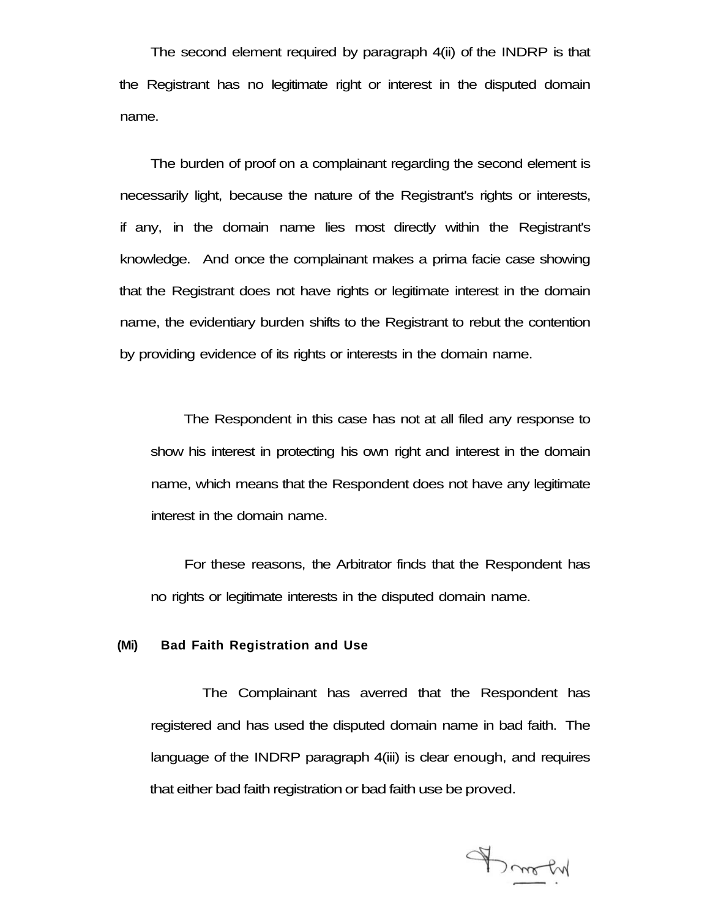The second element required by paragraph 4(ii) of the INDRP is that the Registrant has no legitimate right or interest in the disputed domain name.

The burden of proof on a complainant regarding the second element is necessarily light, because the nature of the Registrant's rights or interests, if any, in the domain name lies most directly within the Registrant's knowledge. And once the complainant makes a prima facie case showing that the Registrant does not have rights or legitimate interest in the domain name, the evidentiary burden shifts to the Registrant to rebut the contention by providing evidence of its rights or interests in the domain name.

The Respondent in this case has not at all filed any response to show his interest in protecting his own right and interest in the domain name, which means that the Respondent does not have any legitimate interest in the domain name.

For these reasons, the Arbitrator finds that the Respondent has no rights or legitimate interests in the disputed domain name.

# **(Mi) Bad Faith Registration and Use**

The Complainant has averred that the Respondent has registered and has used the disputed domain name in bad faith. The language of the INDRP paragraph 4(iii) is clear enough, and requires that either bad faith registration or bad faith use be proved.

Brooky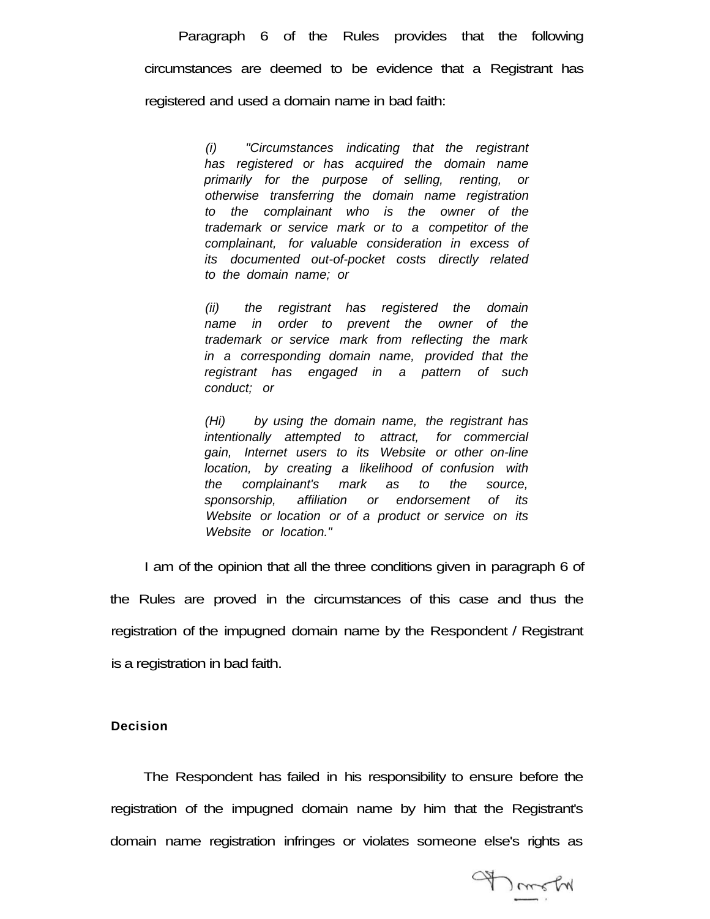Paragraph 6 of the Rules provides that the following circumstances are deemed to be evidence that a Registrant has registered and used a domain name in bad faith:

> (i) "Circumstances indicating that the registrant has registered or has acquired the domain name primarily for the purpose of selling, renting, or otherwise transferring the domain name registration to the complainant who is the owner of the trademark or service mark or to a competitor of the complainant, for valuable consideration in excess of its documented out-of-pocket costs directly related to the domain name; or

> (ii) the registrant has registered the domain name in order to prevent the owner of the trademark or service mark from reflecting the mark in a corresponding domain name, provided that the registrant has engaged in a pattern of such conduct; or

> (Hi) by using the domain name, the registrant has intentionally attempted to attract, for commercial gain, Internet users to its Website or other on-line location, by creating a likelihood of confusion with the complainant's mark as to the source, sponsorship, affiliation or endorsement of its Website or location or of a product or service on its Website or location."

I am of the opinion that all the three conditions given in paragraph 6 of the Rules are proved in the circumstances of this case and thus the registration of the impugned domain name by the Respondent / Registrant is a registration in bad faith.

## **Decision**

The Respondent has failed in his responsibility to ensure before the registration of the impugned domain name by him that the Registrant's domain name registration infringes or violates someone else's rights as

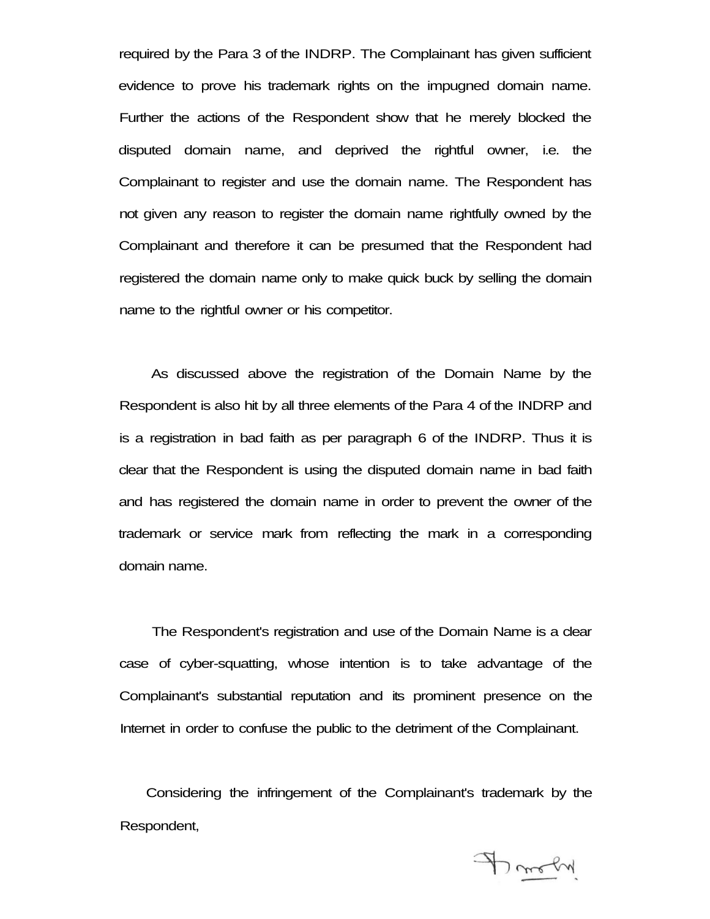required by the Para 3 of the INDRP. The Complainant has given sufficient evidence to prove his trademark rights on the impugned domain name. Further the actions of the Respondent show that he merely blocked the disputed domain name, and deprived the rightful owner, i.e. the Complainant to register and use the domain name. The Respondent has not given any reason to register the domain name rightfully owned by the Complainant and therefore it can be presumed that the Respondent had registered the domain name only to make quick buck by selling the domain name to the rightful owner or his competitor.

As discussed above the registration of the Domain Name by the Respondent is also hit by all three elements of the Para 4 of the INDRP and is a registration in bad faith as per paragraph 6 of the INDRP. Thus it is clear that the Respondent is using the disputed domain name in bad faith and has registered the domain name in order to prevent the owner of the trademark or service mark from reflecting the mark in a corresponding domain name.

The Respondent's registration and use of the Domain Name is a clear case of cyber-squatting, whose intention is to take advantage of the Complainant's substantial reputation and its prominent presence on the Internet in order to confuse the public to the detriment of the Complainant.

Considering the infringement of the Complainant's trademark by the Respondent,

A molin